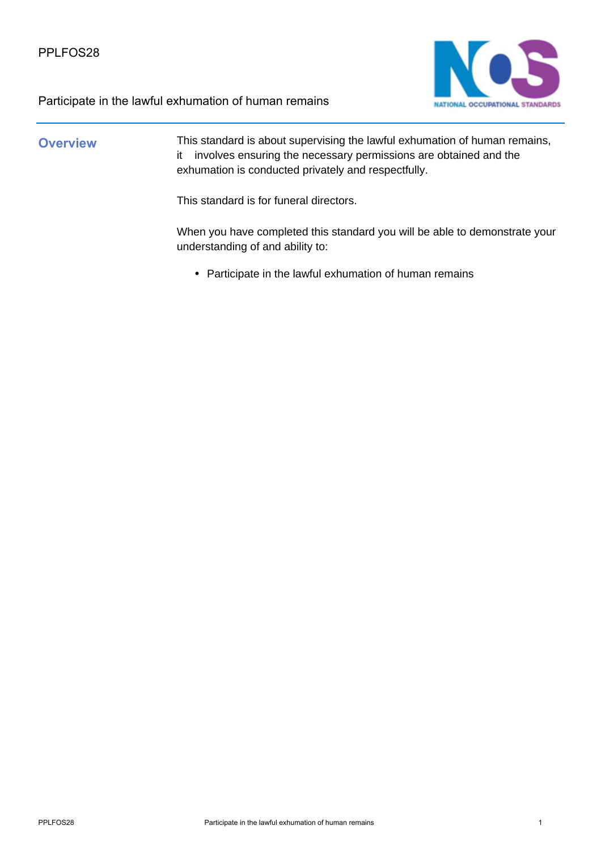



### **Overview** This standard is about supervising the lawful exhumation of human remains, it involves ensuring the necessary permissions are obtained and the exhumation is conducted privately and respectfully.

This standard is for funeral directors.

When you have completed this standard you will be able to demonstrate your understanding of and ability to:

• Participate in the lawful exhumation of human remains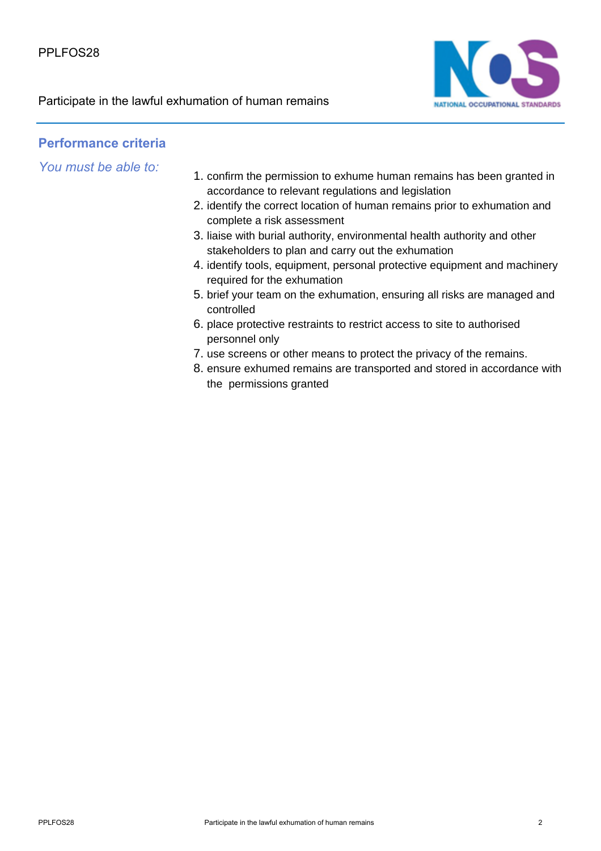

### **Performance criteria**

*You must be able to:*

- 1. confirm the permission to exhume human remains has been granted in accordance to relevant regulations and legislation
- 2. identify the correct location of human remains prior to exhumation and complete a risk assessment
- 3. liaise with burial authority, environmental health authority and other stakeholders to plan and carry out the exhumation
- 4. identify tools, equipment, personal protective equipment and machinery required for the exhumation
- 5. brief your team on the exhumation, ensuring all risks are managed and controlled
- 6. place protective restraints to restrict access to site to authorised personnel only
- 7. use screens or other means to protect the privacy of the remains.
- 8. ensure exhumed remains are transported and stored in accordance with the permissions granted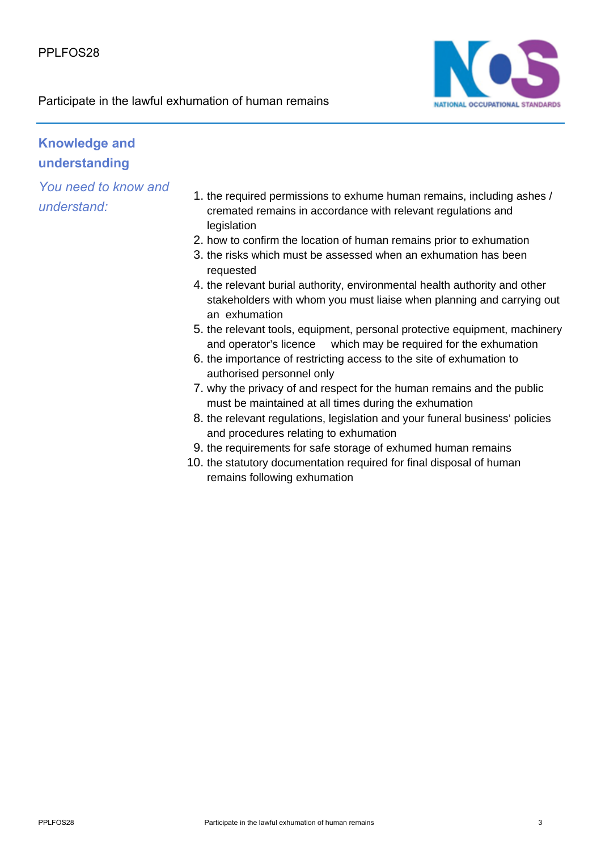

# **Knowledge and understanding**

*You need to know and understand:*

- 1. the required permissions to exhume human remains, including ashes / cremated remains in accordance with relevant regulations and legislation
- 2. how to confirm the location of human remains prior to exhumation
- 3. the risks which must be assessed when an exhumation has been requested
- 4. the relevant burial authority, environmental health authority and other stakeholders with whom you must liaise when planning and carrying out an exhumation
- 5. the relevant tools, equipment, personal protective equipment, machinery and operator's licence which may be required for the exhumation
- 6. the importance of restricting access to the site of exhumation to authorised personnel only
- 7. why the privacy of and respect for the human remains and the public must be maintained at all times during the exhumation
- 8. the relevant regulations, legislation and your funeral business' policies and procedures relating to exhumation
- 9. the requirements for safe storage of exhumed human remains
- 10. the statutory documentation required for final disposal of human remains following exhumation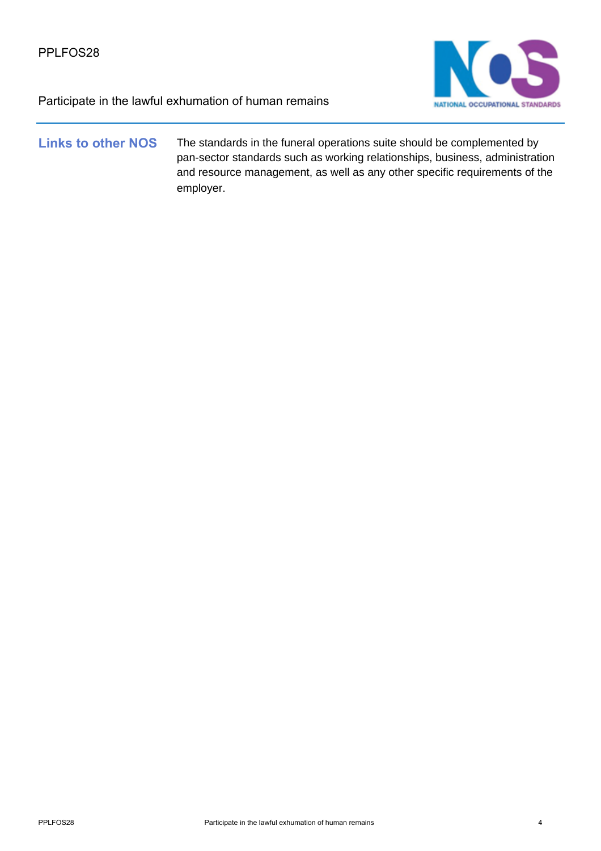

### **Links to other NOS** The standards in the funeral operations suite should be complemented by pan-sector standards such as working relationships, business, administration and resource management, as well as any other specific requirements of the employer.